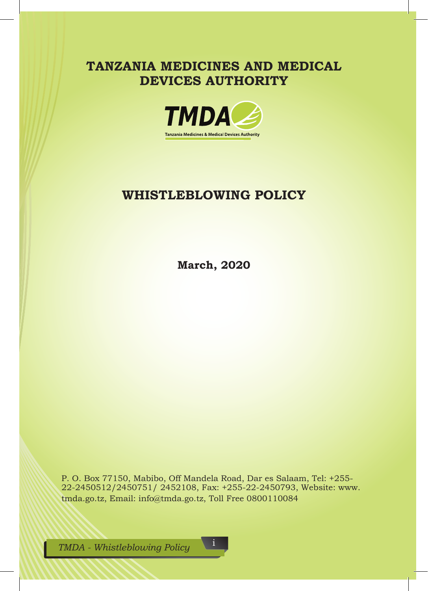**TANZANIA MEDICINES AND MEDICAL DEVICES AUTHORITY**



## **WHISTLEBLOWING POLICY**

**March, 2020**

P. O. Box 77150, Mabibo, Off Mandela Road, Dar es Salaam, Tel: +255- 22-2450512/2450751/ 2452108, Fax: +255-22-2450793, Website: www. tmda.go.tz, Email: info@tmda.go.tz, Toll Free 0800110084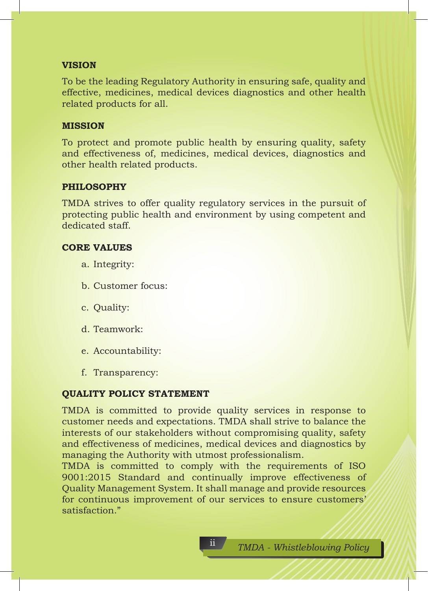#### **VISION**

To be the leading Regulatory Authority in ensuring safe, quality and effective, medicines, medical devices diagnostics and other health related products for all.

#### **MISSION**

To protect and promote public health by ensuring quality, safety and effectiveness of, medicines, medical devices, diagnostics and other health related products.

## **PHILOSOPHY**

TMDA strives to offer quality regulatory services in the pursuit of protecting public health and environment by using competent and dedicated staff.

#### **CORE VALUES**

- a. Integrity:
- b. Customer focus:
- c. Quality:
- d. Teamwork:
- e. Accountability:
- f. Transparency:

## **QUALITY POLICY STATEMENT**

TMDA is committed to provide quality services in response to customer needs and expectations. TMDA shall strive to balance the interests of our stakeholders without compromising quality, safety and effectiveness of medicines, medical devices and diagnostics by managing the Authority with utmost professionalism.

TMDA is committed to comply with the requirements of ISO 9001:2015 Standard and continually improve effectiveness of Quality Management System. It shall manage and provide resources for continuous improvement of our services to ensure customers' satisfaction."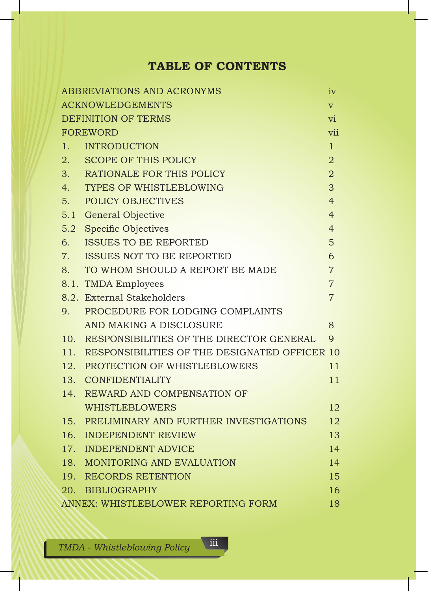# **TABLE OF CONTENTS**

|                                         | ABBREVIATIONS AND ACRONYMS                        | iv             |  |  |  |
|-----------------------------------------|---------------------------------------------------|----------------|--|--|--|
| <b>ACKNOWLEDGEMENTS</b><br>$\mathbf{V}$ |                                                   |                |  |  |  |
| <b>DEFINITION OF TERMS</b><br>vi        |                                                   |                |  |  |  |
|                                         | <b>FOREWORD</b>                                   | vii            |  |  |  |
| 1.                                      | <b>INTRODUCTION</b>                               | $\mathbf{1}$   |  |  |  |
|                                         | 2. SCOPE OF THIS POLICY                           | $\overline{2}$ |  |  |  |
|                                         | 3. RATIONALE FOR THIS POLICY                      | $\overline{2}$ |  |  |  |
|                                         | 4. TYPES OF WHISTLEBLOWING                        | 3              |  |  |  |
| 5.                                      | POLICY OBJECTIVES                                 | $\overline{4}$ |  |  |  |
|                                         | 5.1 General Objective                             | $\overline{4}$ |  |  |  |
| 5.2                                     | <b>Specific Objectives</b>                        | $\overline{4}$ |  |  |  |
| 6.                                      | <b>ISSUES TO BE REPORTED</b>                      | 5              |  |  |  |
| 7.                                      | <b>ISSUES NOT TO BE REPORTED</b>                  | 6              |  |  |  |
| 8.                                      | TO WHOM SHOULD A REPORT BE MADE                   | $\overline{7}$ |  |  |  |
|                                         | 8.1. TMDA Employees                               | $\overline{7}$ |  |  |  |
|                                         | 8.2. External Stakeholders                        | $\overline{7}$ |  |  |  |
| 9.                                      | PROCEDURE FOR LODGING COMPLAINTS                  |                |  |  |  |
|                                         | AND MAKING A DISCLOSURE                           | 8              |  |  |  |
|                                         | 10. RESPONSIBILITIES OF THE DIRECTOR GENERAL      | $\mathbf{Q}$   |  |  |  |
|                                         | 11. RESPONSIBILITIES OF THE DESIGNATED OFFICER 10 |                |  |  |  |
|                                         | 12. PROTECTION OF WHISTLEBLOWERS                  | 11             |  |  |  |
|                                         | 13. CONFIDENTIALITY                               | 11             |  |  |  |
|                                         | 14. REWARD AND COMPENSATION OF                    |                |  |  |  |
|                                         | <b>WHISTLEBLOWERS</b>                             | 12             |  |  |  |
|                                         | 15. PRELIMINARY AND FURTHER INVESTIGATIONS        | 12             |  |  |  |
|                                         | 16. INDEPENDENT REVIEW                            | 13             |  |  |  |
|                                         | 17. INDEPENDENT ADVICE                            | 14             |  |  |  |
|                                         | 18. MONITORING AND EVALUATION                     | 14             |  |  |  |
|                                         | 19. RECORDS RETENTION                             | 15             |  |  |  |
|                                         | 20. BIBLIOGRAPHY                                  | 16             |  |  |  |
|                                         | ANNEX: WHISTLEBLOWER REPORTING FORM               | 18             |  |  |  |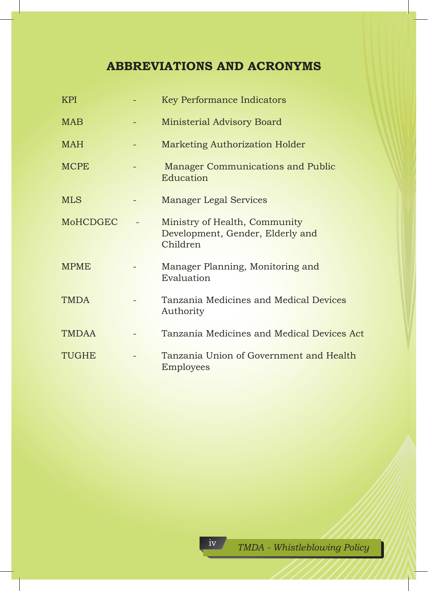# **ABBREVIATIONS AND ACRONYMS**

| KPI             | <b>Key Performance Indicators</b>                                             |
|-----------------|-------------------------------------------------------------------------------|
| <b>MAB</b>      | Ministerial Advisory Board                                                    |
| <b>MAH</b>      | Marketing Authorization Holder                                                |
| <b>MCPE</b>     | Manager Communications and Public<br>Education                                |
| <b>MLS</b>      | <b>Manager Legal Services</b>                                                 |
| <b>MoHCDGEC</b> | Ministry of Health, Community<br>Development, Gender, Elderly and<br>Children |
| <b>MPME</b>     | Manager Planning, Monitoring and<br>Evaluation                                |
| <b>TMDA</b>     | Tanzania Medicines and Medical Devices<br>Authority                           |
| <b>TMDAA</b>    | Tanzania Medicines and Medical Devices Act                                    |
| <b>TUGHE</b>    | Tanzania Union of Government and Health<br>Employees                          |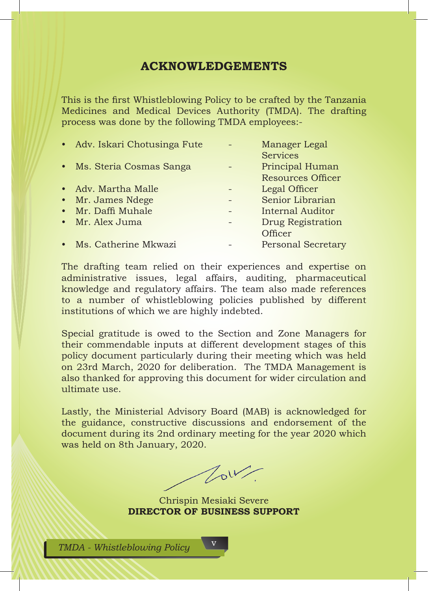## **ACKNOWLEDGEMENTS**

This is the first Whistleblowing Policy to be crafted by the Tanzania Medicines and Medical Devices Authority (TMDA). The drafting process was done by the following TMDA employees:-

| • Adv. Iskari Chotusinga Fute | Manager Legal             |
|-------------------------------|---------------------------|
|                               | <b>Services</b>           |
| • Ms. Steria Cosmas Sanga     | Principal Human           |
|                               | <b>Resources Officer</b>  |
| • Adv. Martha Malle           | Legal Officer             |
| • Mr. James Ndege             | Senior Librarian          |
| • Mr. Daffi Muhale            | Internal Auditor          |
| • Mr. Alex Juma               | Drug Registration         |
|                               | Officer                   |
| • Ms. Catherine Mkwazi        | <b>Personal Secretary</b> |

The drafting team relied on their experiences and expertise on administrative issues, legal affairs, auditing, pharmaceutical knowledge and regulatory affairs. The team also made references to a number of whistleblowing policies published by different institutions of which we are highly indebted.

Special gratitude is owed to the Section and Zone Managers for their commendable inputs at different development stages of this policy document particularly during their meeting which was held on 23rd March, 2020 for deliberation. The TMDA Management is also thanked for approving this document for wider circulation and ultimate use.

Lastly, the Ministerial Advisory Board (MAB) is acknowledged for the guidance, constructive discussions and endorsement of the document during its 2nd ordinary meeting for the year 2020 which was held on 8th January, 2020.

 $\sqrt{d}V$ 

Chrispin Mesiaki Severe **DIRECTOR OF BUSINESS SUPPORT**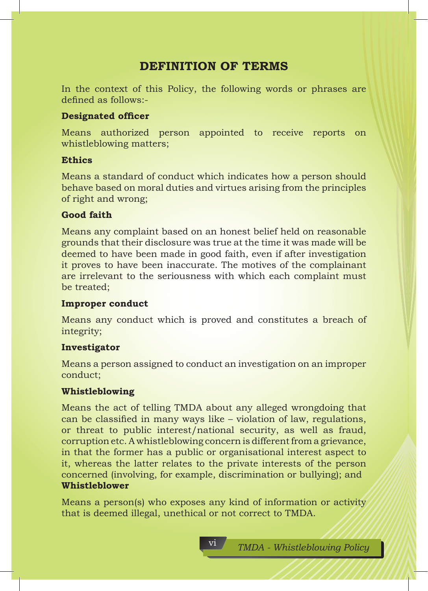## **DEFINITION OF TERMS**

In the context of this Policy, the following words or phrases are defined as follows:-

## **Designated officer**

Means authorized person appointed to receive reports on whistleblowing matters;

## **Ethics**

Means a standard of conduct which indicates how a person should behave based on moral duties and virtues arising from the principles of right and wrong;

## **Good faith**

Means any complaint based on an honest belief held on reasonable grounds that their disclosure was true at the time it was made will be deemed to have been made in good faith, even if after investigation it proves to have been inaccurate. The motives of the complainant are irrelevant to the seriousness with which each complaint must be treated;

## **Improper conduct**

Means any conduct which is proved and constitutes a breach of integrity;

## **Investigator**

Means a person assigned to conduct an investigation on an improper conduct;

## **Whistleblowing**

Means the act of telling TMDA about any alleged wrongdoing that can be classified in many ways like – violation of law, regulations, or threat to public interest/national security, as well as fraud, corruption etc. A whistleblowing concern is different from a grievance, in that the former has a public or organisational interest aspect to it, whereas the latter relates to the private interests of the person concerned (involving, for example, discrimination or bullying); and **Whistleblower** 

Means a person(s) who exposes any kind of information or activity that is deemed illegal, unethical or not correct to TMDA.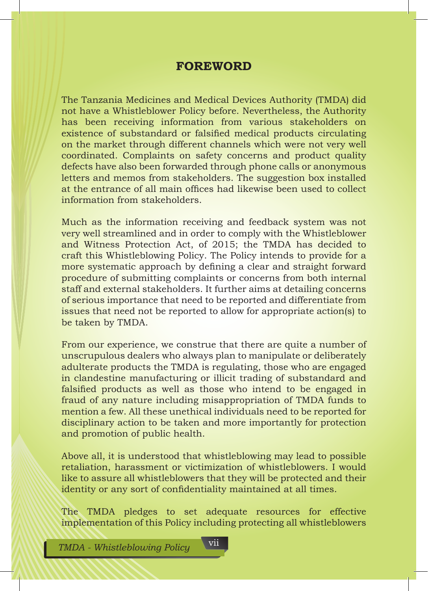## **FOREWORD**

The Tanzania Medicines and Medical Devices Authority (TMDA) did not have a Whistleblower Policy before. Nevertheless, the Authority has been receiving information from various stakeholders on existence of substandard or falsified medical products circulating on the market through different channels which were not very well coordinated. Complaints on safety concerns and product quality defects have also been forwarded through phone calls or anonymous letters and memos from stakeholders. The suggestion box installed at the entrance of all main offices had likewise been used to collect information from stakeholders.

Much as the information receiving and feedback system was not very well streamlined and in order to comply with the Whistleblower and Witness Protection Act, of 2015; the TMDA has decided to craft this Whistleblowing Policy. The Policy intends to provide for a more systematic approach by defining a clear and straight forward procedure of submitting complaints or concerns from both internal staff and external stakeholders. It further aims at detailing concerns of serious importance that need to be reported and differentiate from issues that need not be reported to allow for appropriate action(s) to be taken by TMDA.

From our experience, we construe that there are quite a number of unscrupulous dealers who always plan to manipulate or deliberately adulterate products the TMDA is regulating, those who are engaged in clandestine manufacturing or illicit trading of substandard and falsified products as well as those who intend to be engaged in fraud of any nature including misappropriation of TMDA funds to mention a few. All these unethical individuals need to be reported for disciplinary action to be taken and more importantly for protection and promotion of public health.

Above all, it is understood that whistleblowing may lead to possible retaliation, harassment or victimization of whistleblowers. I would like to assure all whistleblowers that they will be protected and their identity or any sort of confidentiality maintained at all times.

The TMDA pledges to set adequate resources for effective implementation of this Policy including protecting all whistleblowers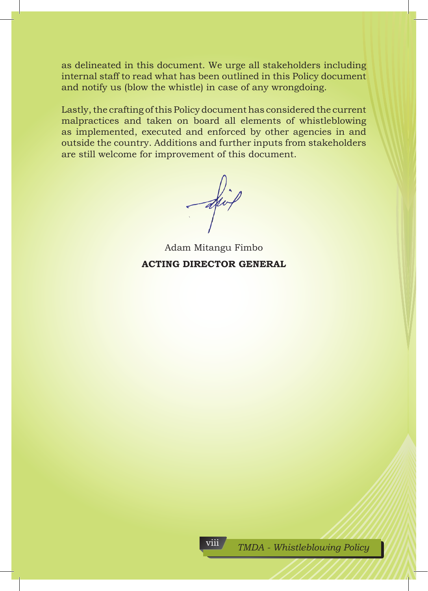as delineated in this document. We urge all stakeholders including internal staff to read what has been outlined in this Policy document and notify us (blow the whistle) in case of any wrongdoing.

Lastly, the crafting of this Policy document has considered the current malpractices and taken on board all elements of whistleblowing as implemented, executed and enforced by other agencies in and outside the country. Additions and further inputs from stakeholders are still welcome for improvement of this document.

 $\overrightarrow{div}$ 

Adam Mitangu Fimbo **ACTING DIRECTOR GENERAL**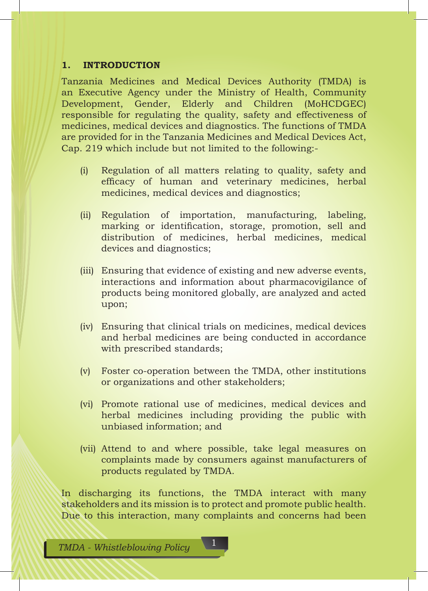### **1. INTRODUCTION**

Tanzania Medicines and Medical Devices Authority (TMDA) is an Executive Agency under the Ministry of Health, Community Development, Gender, Elderly and Children (MoHCDGEC) responsible for regulating the quality, safety and effectiveness of medicines, medical devices and diagnostics. The functions of TMDA are provided for in the Tanzania Medicines and Medical Devices Act, Cap. 219 which include but not limited to the following:-

- (i) Regulation of all matters relating to quality, safety and efficacy of human and veterinary medicines, herbal medicines, medical devices and diagnostics;
- (ii) Regulation of importation, manufacturing, labeling, marking or identification, storage, promotion, sell and distribution of medicines, herbal medicines, medical devices and diagnostics;
- (iii) Ensuring that evidence of existing and new adverse events, interactions and information about pharmacovigilance of products being monitored globally, are analyzed and acted upon;
- (iv) Ensuring that clinical trials on medicines, medical devices and herbal medicines are being conducted in accordance with prescribed standards;
- (v) Foster co-operation between the TMDA, other institutions or organizations and other stakeholders;
- (vi) Promote rational use of medicines, medical devices and herbal medicines including providing the public with unbiased information; and
- (vii) Attend to and where possible, take legal measures on complaints made by consumers against manufacturers of products regulated by TMDA.

In discharging its functions, the TMDA interact with many stakeholders and its mission is to protect and promote public health. Due to this interaction, many complaints and concerns had been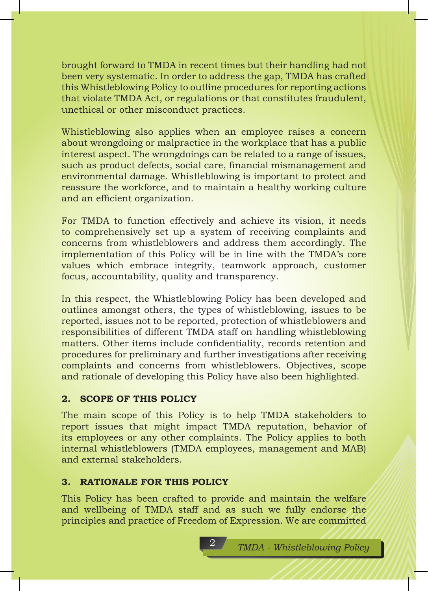brought forward to TMDA in recent times but their handling had not been very systematic. In order to address the gap, TMDA has crafted this Whistleblowing Policy to outline procedures for reporting actions that violate TMDA Act, or regulations or that constitutes fraudulent, unethical or other misconduct practices.

Whistleblowing also applies when an employee raises a concern about wrongdoing or malpractice in the workplace that has a public interest aspect. The wrongdoings can be related to a range of issues, such as product defects, social care, financial mismanagement and environmental damage. Whistleblowing is important to protect and reassure the workforce, and to maintain a healthy working culture and an efficient organization.

For TMDA to function effectively and achieve its vision, it needs to comprehensively set up a system of receiving complaints and concerns from whistleblowers and address them accordingly. The implementation of this Policy will be in line with the TMDA's core values which embrace integrity, teamwork approach, customer focus, accountability, quality and transparency.

In this respect, the Whistleblowing Policy has been developed and outlines amongst others, the types of whistleblowing, issues to be reported, issues not to be reported, protection of whistleblowers and responsibilities of different TMDA staff on handling whistleblowing matters. Other items include confidentiality, records retention and procedures for preliminary and further investigations after receiving complaints and concerns from whistleblowers. Objectives, scope and rationale of developing this Policy have also been highlighted.

## **2. SCOPE OF THIS POLICY**

The main scope of this Policy is to help TMDA stakeholders to report issues that might impact TMDA reputation, behavior of its employees or any other complaints. The Policy applies to both internal whistleblowers (TMDA employees, management and MAB) and external stakeholders.

## **3. RATIONALE FOR THIS POLICY**

This Policy has been crafted to provide and maintain the welfare and wellbeing of TMDA staff and as such we fully endorse the principles and practice of Freedom of Expression. We are committed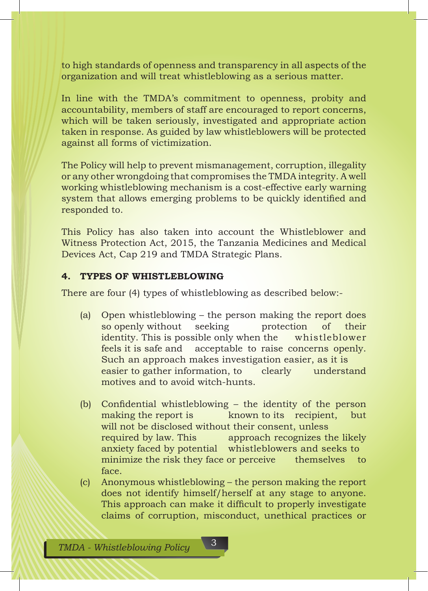to high standards of openness and transparency in all aspects of the organization and will treat whistleblowing as a serious matter.

In line with the TMDA's commitment to openness, probity and accountability, members of staff are encouraged to report concerns, which will be taken seriously, investigated and appropriate action taken in response. As guided by law whistleblowers will be protected against all forms of victimization.

The Policy will help to prevent mismanagement, corruption, illegality or any other wrongdoing that compromises the TMDA integrity. A well working whistleblowing mechanism is a cost-effective early warning system that allows emerging problems to be quickly identified and responded to.

This Policy has also taken into account the Whistleblower and Witness Protection Act, 2015, the Tanzania Medicines and Medical Devices Act, Cap 219 and TMDA Strategic Plans.

### **4. TYPES OF WHISTLEBLOWING**

There are four (4) types of whistleblowing as described below:-

- (a) Open whistleblowing the person making the report does so openly without seeking protection of their identity. This is possible only when the whistleblower feels it is safe and acceptable to raise concerns openly. Such an approach makes investigation easier, as it is easier to gather information, to clearly understand motives and to avoid witch-hunts.
- (b) Confidential whistleblowing the identity of the person making the report is help is the recipient, but will not be disclosed without their consent, unless required by law. This approach recognizes the likely anxiety faced by potential whistleblowers and seeks to minimize the risk they face or perceive themselves to face.
- (c) Anonymous whistleblowing the person making the report does not identify himself/herself at any stage to anyone. This approach can make it difficult to properly investigate claims of corruption, misconduct, unethical practices or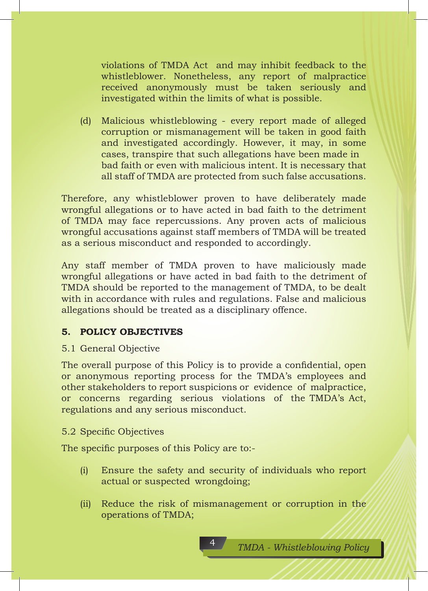violations of TMDA Act and may inhibit feedback to the whistleblower. Nonetheless, any report of malpractice received anonymously must be taken seriously and investigated within the limits of what is possible.

(d) Malicious whistleblowing - every report made of alleged corruption or mismanagement will be taken in good faith and investigated accordingly. However, it may, in some cases, transpire that such allegations have been made in bad faith or even with malicious intent. It is necessary that all staff of TMDA are protected from such false accusations.

Therefore, any whistleblower proven to have deliberately made wrongful allegations or to have acted in bad faith to the detriment of TMDA may face repercussions. Any proven acts of malicious wrongful accusations against staff members of TMDA will be treated as a serious misconduct and responded to accordingly.

Any staff member of TMDA proven to have maliciously made wrongful allegations or have acted in bad faith to the detriment of TMDA should be reported to the management of TMDA, to be dealt with in accordance with rules and regulations. False and malicious allegations should be treated as a disciplinary offence.

## **5. POLICY OBJECTIVES**

5.1 General Objective

The overall purpose of this Policy is to provide a confidential, open or anonymous reporting process for the TMDA's employees and other stakeholders to report suspicions or evidence of malpractice, or concerns regarding serious violations of the TMDA's Act, regulations and any serious misconduct.

#### 5.2 Specific Objectives

The specific purposes of this Policy are to:-

- (i) Ensure the safety and security of individuals who report actual or suspected wrongdoing;
- (ii) Reduce the risk of mismanagement or corruption in the operations of TMDA;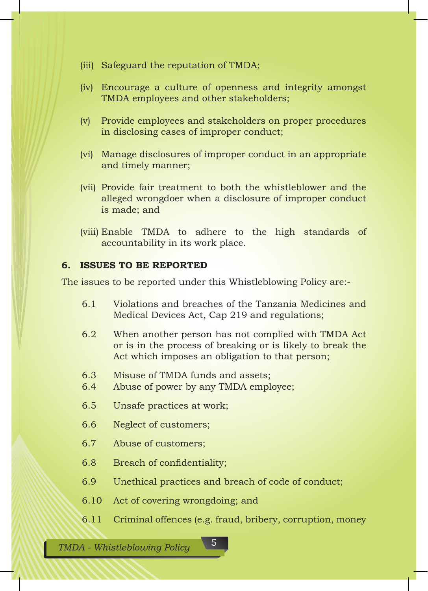- (iii) Safeguard the reputation of TMDA;
- (iv) Encourage a culture of openness and integrity amongst TMDA employees and other stakeholders;
- (v) Provide employees and stakeholders on proper procedures in disclosing cases of improper conduct;
- (vi) Manage disclosures of improper conduct in an appropriate and timely manner;
- (vii) Provide fair treatment to both the whistleblower and the alleged wrongdoer when a disclosure of improper conduct is made; and
- (viii) Enable TMDA to adhere to the high standards of accountability in its work place.

#### **6. ISSUES TO BE REPORTED**

The issues to be reported under this Whistleblowing Policy are:-

- 6.1 Violations and breaches of the Tanzania Medicines and Medical Devices Act, Cap 219 and regulations;
- 6.2 When another person has not complied with TMDA Act or is in the process of breaking or is likely to break the Act which imposes an obligation to that person;
- 6.3 Misuse of TMDA funds and assets;<br>6.4 Abuse of nower by any TMDA empl
- Abuse of power by any TMDA employee;
- 6.5 Unsafe practices at work;
- 6.6 Neglect of customers;
- 6.7 Abuse of customers;
- 6.8 Breach of confidentiality;
- 6.9 Unethical practices and breach of code of conduct;
- 6.10 Act of covering wrongdoing; and
- 6.11 Criminal offences (e.g. fraud, bribery, corruption, money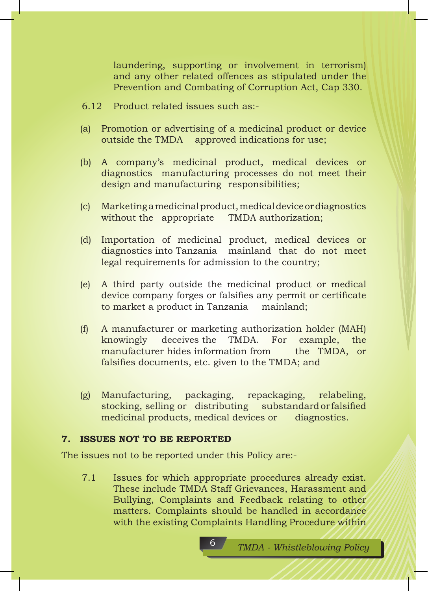laundering, supporting or involvement in terrorism) and any other related offences as stipulated under the Prevention and Combating of Corruption Act, Cap 330.

- 6.12 Product related issues such as:-
- (a) Promotion or advertising of a medicinal product or device outside the TMDA approved indications for use;
- (b) A company's medicinal product, medical devices or diagnostics manufacturing processes do not meet their design and manufacturing responsibilities;
- (c) Marketing a medicinal product, medical device or diagnostics without the appropriate TMDA authorization;
- (d) Importation of medicinal product, medical devices or diagnostics into Tanzania mainland that do not meet legal requirements for admission to the country;
- (e) A third party outside the medicinal product or medical device company forges or falsifies any permit or certificate to market a product in Tanzania mainland;
- (f) A manufacturer or marketing authorization holder (MAH) knowingly deceives the TMDA. For example, the manufacturer hides information from the TMDA, or falsifies documents, etc. given to the TMDA; and
- (g) Manufacturing, packaging, repackaging, relabeling, stocking, selling or distributing substandard or falsified medicinal products, medical devices or diagnostics.

### **7. ISSUES NOT TO BE REPORTED**

The issues not to be reported under this Policy are:-

7.1 Issues for which appropriate procedures already exist. These include TMDA Staff Grievances, Harassment and Bullying, Complaints and Feedback relating to other matters. Complaints should be handled in accordance with the existing Complaints Handling Procedure within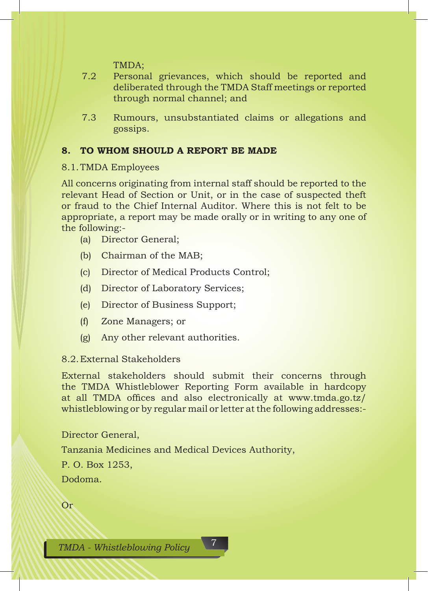TMDA;

- 7.2 Personal grievances, which should be reported and deliberated through the TMDA Staff meetings or reported through normal channel; and
- 7.3 Rumours, unsubstantiated claims or allegations and gossips.

## **8. TO WHOM SHOULD A REPORT BE MADE**

#### 8.1.TMDA Employees

All concerns originating from internal staff should be reported to the relevant Head of Section or Unit, or in the case of suspected theft or fraud to the Chief Internal Auditor. Where this is not felt to be appropriate, a report may be made orally or in writing to any one of the following:-

- (a) Director General;
- (b) Chairman of the MAB;
- (c) Director of Medical Products Control;
- (d) Director of Laboratory Services;
- (e) Director of Business Support;
- (f) Zone Managers; or
- (g) Any other relevant authorities.

#### 8.2.External Stakeholders

External stakeholders should submit their concerns through the TMDA Whistleblower Reporting Form available in hardcopy at all TMDA offices and also electronically at www.tmda.go.tz/ whistleblowing or by regular mail or letter at the following addresses:-

Director General,

Tanzania Medicines and Medical Devices Authority,

P. O. Box 1253,

Dodoma.

Or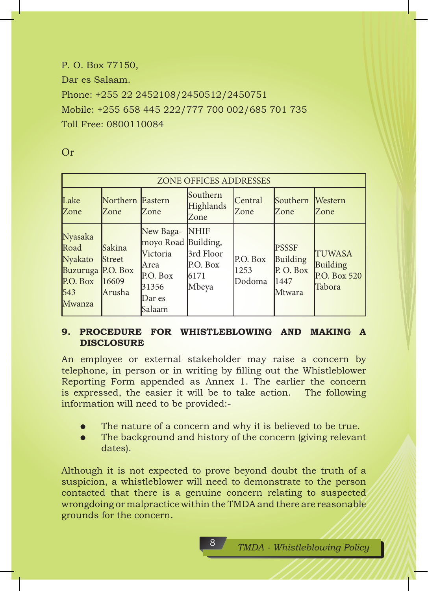P. O. Box 77150, Dar es Salaam. Phone: +255 22 2452108/2450512/2450751 Mobile: +255 658 445 222/777 700 002/685 701 735 Toll Free: 0800110084

| <b>ZONE OFFICES ADDRESSES</b>                                                |                                             |                                                                                               |                                                       |                            |                                                        |                                                     |
|------------------------------------------------------------------------------|---------------------------------------------|-----------------------------------------------------------------------------------------------|-------------------------------------------------------|----------------------------|--------------------------------------------------------|-----------------------------------------------------|
| Lake<br>Zone                                                                 | Northern Eastern<br>Zone                    | Zone                                                                                          | Southern<br>Highlands<br>Zone                         | Central<br>Zone            | Southern<br>Zone                                       | Western<br>Zone                                     |
| Nyasaka<br>Road<br>Nyakato<br>Buzuruga P.O. Box<br>P.O. Box<br>543<br>Mwanza | Sakina<br><b>Street</b><br>16609<br>lArusha | New Baga-<br>moyo Road Building,<br>Victoria<br>Area<br>P.O. Box<br>31356<br>Dar es<br>Salaam | <b>NHIF</b><br>3rd Floor<br>P.O. Box<br>6171<br>Mbeya | P.O. Box<br>1253<br>Dodoma | <b>PSSSF</b><br>Building<br>P.O. Box<br>1447<br>Mtwara | <b>TUWASA</b><br>Building<br>P.O. Box 520<br>Tabora |

## **9. PROCEDURE FOR WHISTLEBLOWING AND MAKING A DISCLOSURE**

An employee or external stakeholder may raise a concern by telephone, in person or in writing by filling out the Whistleblower Reporting Form appended as Annex 1. The earlier the concern is expressed, the easier it will be to take action. The following information will need to be provided:-

- The nature of a concern and why it is believed to be true.
- The background and history of the concern (giving relevant) dates).

Although it is not expected to prove beyond doubt the truth of a suspicion, a whistleblower will need to demonstrate to the person contacted that there is a genuine concern relating to suspected wrongdoing or malpractice within the TMDA and there are reasonable grounds for the concern.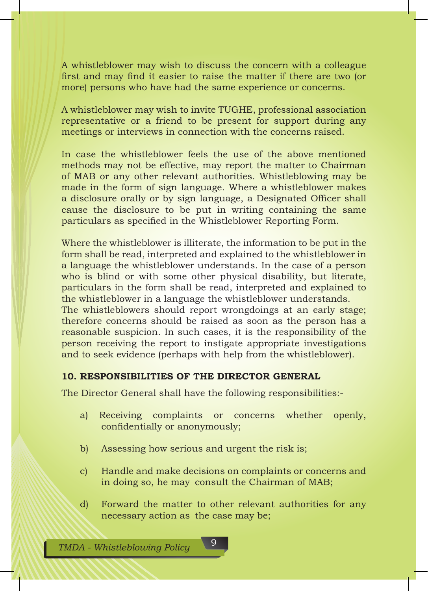A whistleblower may wish to discuss the concern with a colleague first and may find it easier to raise the matter if there are two (or more) persons who have had the same experience or concerns.

A whistleblower may wish to invite TUGHE, professional association representative or a friend to be present for support during any meetings or interviews in connection with the concerns raised.

In case the whistleblower feels the use of the above mentioned methods may not be effective, may report the matter to Chairman of MAB or any other relevant authorities. Whistleblowing may be made in the form of sign language. Where a whistleblower makes a disclosure orally or by sign language, a Designated Officer shall cause the disclosure to be put in writing containing the same particulars as specified in the Whistleblower Reporting Form.

Where the whistleblower is illiterate, the information to be put in the form shall be read, interpreted and explained to the whistleblower in a language the whistleblower understands. In the case of a person who is blind or with some other physical disability, but literate, particulars in the form shall be read, interpreted and explained to the whistleblower in a language the whistleblower understands. The whistleblowers should report wrongdoings at an early stage; therefore concerns should be raised as soon as the person has a reasonable suspicion. In such cases, it is the responsibility of the person receiving the report to instigate appropriate investigations and to seek evidence (perhaps with help from the whistleblower).

## **10. RESPONSIBILITIES OF THE DIRECTOR GENERAL**

The Director General shall have the following responsibilities:-

- a) Receiving complaints or concerns whether openly, confidentially or anonymously;
- b) Assessing how serious and urgent the risk is;
- c) Handle and make decisions on complaints or concerns and in doing so, he may consult the Chairman of MAB;
- d) Forward the matter to other relevant authorities for any necessary action as the case may be;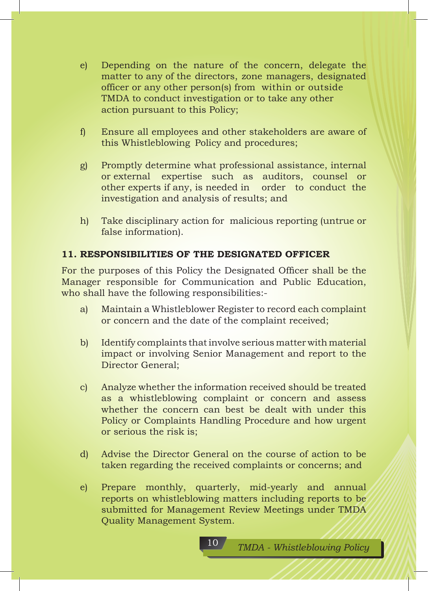- e) Depending on the nature of the concern, delegate the matter to any of the directors, zone managers, designated officer or any other person(s) from within or outside TMDA to conduct investigation or to take any other action pursuant to this Policy;
- f) Ensure all employees and other stakeholders are aware of this Whistleblowing Policy and procedures;
- g) Promptly determine what professional assistance, internal or external expertise such as auditors, counsel or other experts if any, is needed in order to conduct the investigation and analysis of results; and
- h) Take disciplinary action for malicious reporting (untrue or false information).

## **11. RESPONSIBILITIES OF THE DESIGNATED OFFICER**

For the purposes of this Policy the Designated Officer shall be the Manager responsible for Communication and Public Education, who shall have the following responsibilities:-

- a) Maintain a Whistleblower Register to record each complaint or concern and the date of the complaint received;
- b) Identify complaints that involve serious matter with material impact or involving Senior Management and report to the Director General;
- c) Analyze whether the information received should be treated as a whistleblowing complaint or concern and assess whether the concern can best be dealt with under this Policy or Complaints Handling Procedure and how urgent or serious the risk is;
- d) Advise the Director General on the course of action to be taken regarding the received complaints or concerns; and
- e) Prepare monthly, quarterly, mid-yearly and annual reports on whistleblowing matters including reports to be submitted for Management Review Meetings under TMDA Quality Management System.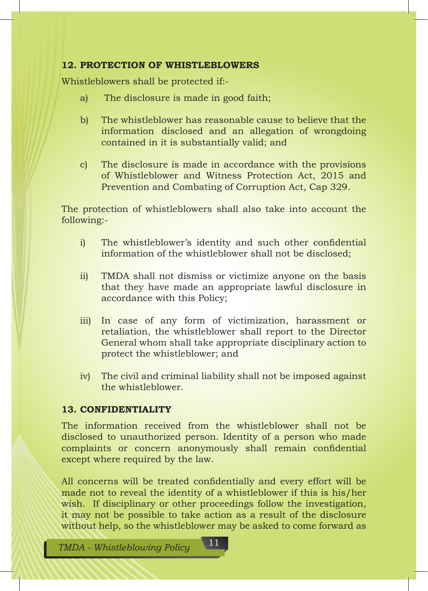## **12. PROTECTION OF WHISTLEBLOWERS**

Whistleblowers shall be protected if:-

- a) The disclosure is made in good faith;
- b) The whistleblower has reasonable cause to believe that the information disclosed and an allegation of wrongdoing contained in it is substantially valid; and
- c) The disclosure is made in accordance with the provisions of Whistleblower and Witness Protection Act, 2015 and Prevention and Combating of Corruption Act, Cap 329.

The protection of whistleblowers shall also take into account the following:-

- i) The whistleblower's identity and such other confidential information of the whistleblower shall not be disclosed;
- ii) TMDA shall not dismiss or victimize anyone on the basis that they have made an appropriate lawful disclosure in accordance with this Policy;
- iii) In case of any form of victimization, harassment or retaliation, the whistleblower shall report to the Director General whom shall take appropriate disciplinary action to protect the whistleblower; and
- iv) The civil and criminal liability shall not be imposed against the whistleblower.

## **13. CONFIDENTIALITY**

The information received from the whistleblower shall not be disclosed to unauthorized person. Identity of a person who made complaints or concern anonymously shall remain confidential except where required by the law.

All concerns will be treated confidentially and every effort will be made not to reveal the identity of a whistleblower if this is his/her wish. If disciplinary or other proceedings follow the investigation, it may not be possible to take action as a result of the disclosure without help, so the whistleblower may be asked to come forward as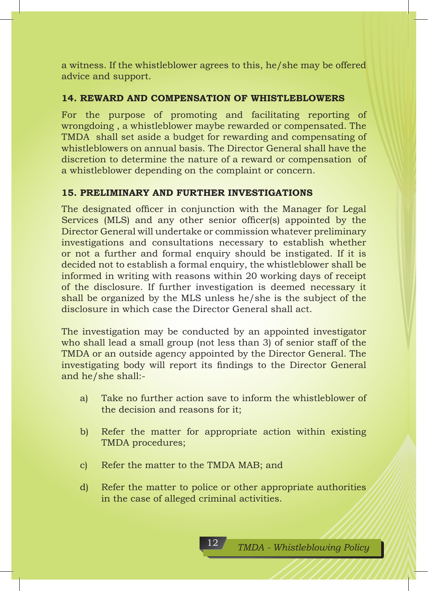a witness. If the whistleblower agrees to this, he/she may be offered advice and support.

## **14. REWARD AND COMPENSATION OF WHISTLEBLOWERS**

For the purpose of promoting and facilitating reporting of wrongdoing , a whistleblower maybe rewarded or compensated. The TMDA shall set aside a budget for rewarding and compensating of whistleblowers on annual basis. The Director General shall have the discretion to determine the nature of a reward or compensation of a whistleblower depending on the complaint or concern.

## **15. PRELIMINARY AND FURTHER INVESTIGATIONS**

The designated officer in conjunction with the Manager for Legal Services (MLS) and any other senior officer(s) appointed by the Director General will undertake or commission whatever preliminary investigations and consultations necessary to establish whether or not a further and formal enquiry should be instigated. If it is decided not to establish a formal enquiry, the whistleblower shall be informed in writing with reasons within 20 working days of receipt of the disclosure. If further investigation is deemed necessary it shall be organized by the MLS unless he/she is the subject of the disclosure in which case the Director General shall act.

The investigation may be conducted by an appointed investigator who shall lead a small group (not less than 3) of senior staff of the TMDA or an outside agency appointed by the Director General. The investigating body will report its findings to the Director General and he/she shall:-

- a) Take no further action save to inform the whistleblower of the decision and reasons for it;
- b) Refer the matter for appropriate action within existing TMDA procedures;
- c) Refer the matter to the TMDA MAB; and
- d) Refer the matter to police or other appropriate authorities in the case of alleged criminal activities.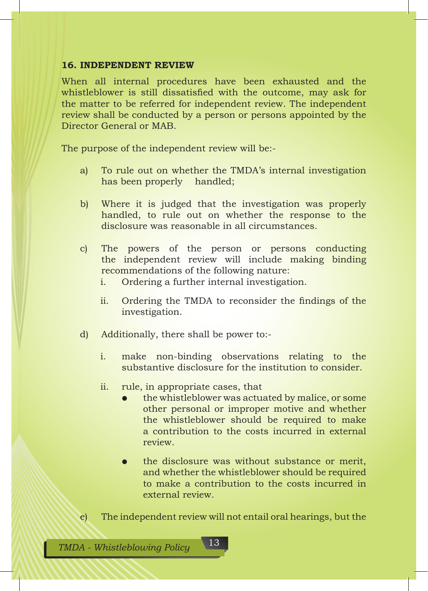#### **16. INDEPENDENT REVIEW**

When all internal procedures have been exhausted and the whistleblower is still dissatisfied with the outcome, may ask for the matter to be referred for independent review. The independent review shall be conducted by a person or persons appointed by the Director General or MAB.

The purpose of the independent review will be:-

- a) To rule out on whether the TMDA's internal investigation has been properly handled;
- b) Where it is judged that the investigation was properly handled, to rule out on whether the response to the disclosure was reasonable in all circumstances.
- c) The powers of the person or persons conducting the independent review will include making binding recommendations of the following nature:
	- i. Ordering a further internal investigation.
	- ii. Ordering the TMDA to reconsider the findings of the investigation.
- d) Additionally, there shall be power to:
	- i. make non-binding observations relating to the substantive disclosure for the institution to consider.
	- ii. rule, in appropriate cases, that
		- the whistleblower was actuated by malice, or some other personal or improper motive and whether the whistleblower should be required to make a contribution to the costs incurred in external review.
		- the disclosure was without substance or merit, and whether the whistleblower should be required to make a contribution to the costs incurred in external review.
- e) The independent review will not entail oral hearings, but the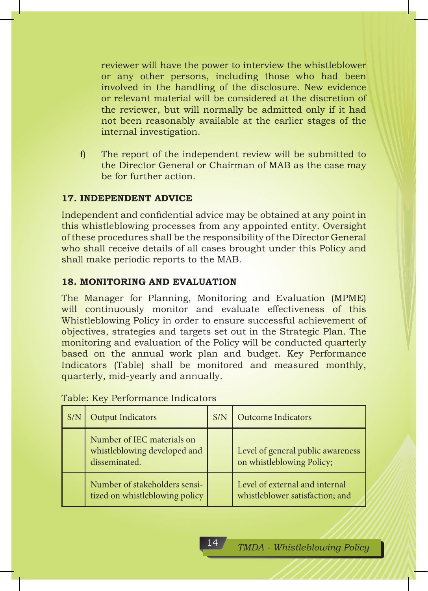reviewer will have the power to interview the whistleblower or any other persons, including those who had been involved in the handling of the disclosure. New evidence or relevant material will be considered at the discretion of the reviewer, but will normally be admitted only if it had not been reasonably available at the earlier stages of the internal investigation.

f) The report of the independent review will be submitted to the Director General or Chairman of MAB as the case may be for further action.

## **17. INDEPENDENT ADVICE**

Independent and confidential advice may be obtained at any point in this whistleblowing processes from any appointed entity. Oversight of these procedures shall be the responsibility of the Director General who shall receive details of all cases brought under this Policy and shall make periodic reports to the MAB.

## **18. MONITORING AND EVALUATION**

The Manager for Planning, Monitoring and Evaluation (MPME) will continuously monitor and evaluate effectiveness of this Whistleblowing Policy in order to ensure successful achievement of objectives, strategies and targets set out in the Strategic Plan. The monitoring and evaluation of the Policy will be conducted quarterly based on the annual work plan and budget. Key Performance Indicators (Table) shall be monitored and measured monthly, quarterly, mid-yearly and annually.

| S/N | <b>Output Indicators</b>                                                    | S/N | <b>Outcome Indicators</b>                                         |
|-----|-----------------------------------------------------------------------------|-----|-------------------------------------------------------------------|
|     | Number of IEC materials on<br>whistleblowing developed and<br>disseminated. |     | Level of general public awareness<br>on whistleblowing Policy;    |
|     | Number of stakeholders sensi-<br>tized on whistleblowing policy             |     | Level of external and internal<br>whistleblower satisfaction; and |

Table: Key Performance Indicators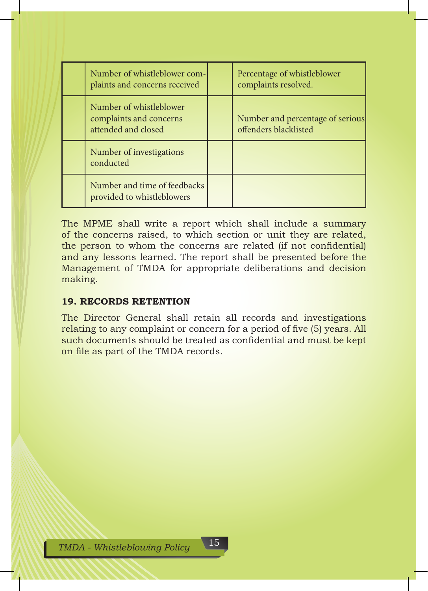| Number of whistleblower com-<br>plaints and concerns received             | Percentage of whistleblower<br>complaints resolved.       |
|---------------------------------------------------------------------------|-----------------------------------------------------------|
| Number of whistleblower<br>complaints and concerns<br>attended and closed | Number and percentage of serious<br>offenders blacklisted |
| Number of investigations<br>conducted                                     |                                                           |
| Number and time of feedbacks<br>provided to whistleblowers                |                                                           |

The MPME shall write a report which shall include a summary of the concerns raised, to which section or unit they are related, the person to whom the concerns are related (if not confidential) and any lessons learned. The report shall be presented before the Management of TMDA for appropriate deliberations and decision making.

## **19. RECORDS RETENTION**

The Director General shall retain all records and investigations relating to any complaint or concern for a period of five (5) years. All such documents should be treated as confidential and must be kept on file as part of the TMDA records.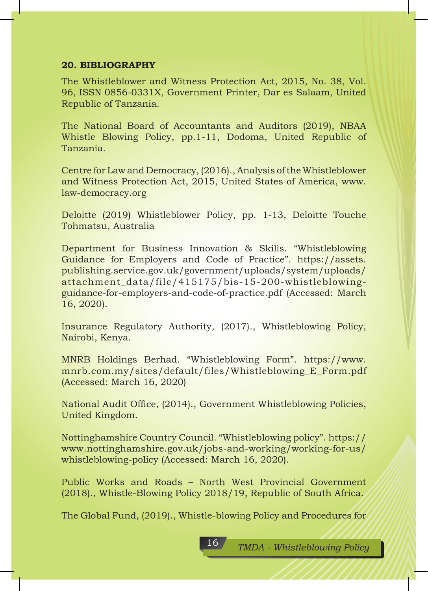#### **20. BIBLIOGRAPHY**

The Whistleblower and Witness Protection Act, 2015, No. 38, Vol. 96, ISSN 0856-0331X, Government Printer, Dar es Salaam, United Republic of Tanzania.

The National Board of Accountants and Auditors (2019), NBAA Whistle Blowing Policy, pp.1-11, Dodoma, United Republic of Tanzania.

Centre for Law and Democracy, (2016)., Analysis of the Whistleblower and Witness Protection Act, 2015, United States of America, www. law-democracy.org

Deloitte (2019) Whistleblower Policy, pp. 1-13, Deloitte Touche Tohmatsu, Australia

Department for Business Innovation & Skills. "Whistleblowing Guidance for Employers and Code of Practice". https://assets. publishing.service.gov.uk/government/uploads/system/uploads/ attachment\_data/file/415175/bis-15-200-whistleblowingguidance-for-employers-and-code-of-practice.pdf (Accessed: March 16, 2020).

Insurance Regulatory Authority, (2017)., Whistleblowing Policy, Nairobi, Kenya.

MNRB Holdings Berhad. "Whistleblowing Form". https://www. mnrb.com.my/sites/default/files/Whistleblowing\_E\_Form.pdf (Accessed: March 16, 2020)

National Audit Office, (2014)., Government Whistleblowing Policies, United Kingdom.

Nottinghamshire Country Council. "Whistleblowing policy". https:// www.nottinghamshire.gov.uk/jobs-and-working/working-for-us/ whistleblowing-policy (Accessed: March 16, 2020).

Public Works and Roads – North West Provincial Government (2018)., Whistle-Blowing Policy 2018/19, Republic of South Africa.

The Global Fund, (2019)., Whistle-blowing Policy and Procedures for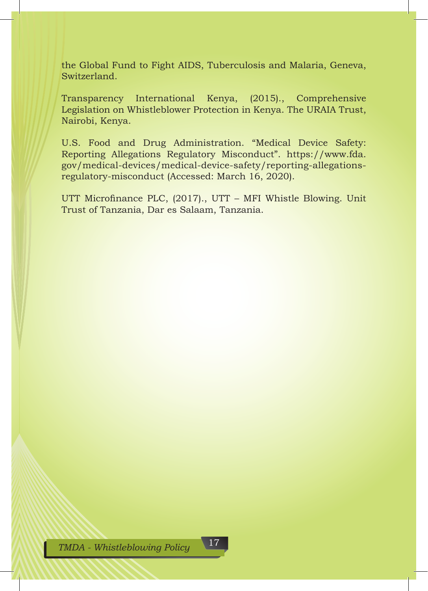the Global Fund to Fight AIDS, Tuberculosis and Malaria, Geneva, Switzerland.

Transparency International Kenya, (2015)., Comprehensive Legislation on Whistleblower Protection in Kenya. The URAIA Trust, Nairobi, Kenya.

U.S. Food and Drug Administration. "Medical Device Safety: Reporting Allegations Regulatory Misconduct". https://www.fda. gov/medical-devices/medical-device-safety/reporting-allegationsregulatory-misconduct (Accessed: March 16, 2020).

UTT Microfinance PLC, (2017)., UTT – MFI Whistle Blowing. Unit Trust of Tanzania, Dar es Salaam, Tanzania.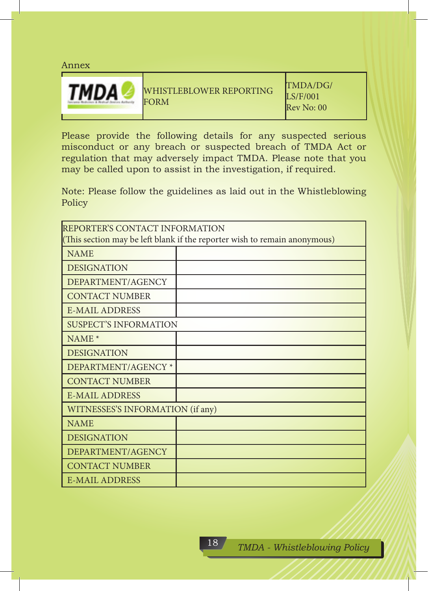#### Annex



Please provide the following details for any suspected serious misconduct or any breach or suspected breach of TMDA Act or regulation that may adversely impact TMDA. Please note that you may be called upon to assist in the investigation, if required.

Note: Please follow the guidelines as laid out in the Whistleblowing Policy

| REPORTER'S CONTACT INFORMATION<br>(This section may be left blank if the reporter wish to remain anonymous) |  |  |
|-------------------------------------------------------------------------------------------------------------|--|--|
| <b>NAME</b>                                                                                                 |  |  |
| <b>DESIGNATION</b>                                                                                          |  |  |
| DEPARTMENT/AGENCY                                                                                           |  |  |
| <b>CONTACT NUMBER</b>                                                                                       |  |  |
| <b>E-MAIL ADDRESS</b>                                                                                       |  |  |
| <b>SUSPECT'S INFORMATION</b>                                                                                |  |  |
| $NAME*$                                                                                                     |  |  |
| <b>DESIGNATION</b>                                                                                          |  |  |
| DEPARTMENT/AGENCY *                                                                                         |  |  |
| <b>CONTACT NUMBER</b>                                                                                       |  |  |
| <b>E-MAIL ADDRESS</b>                                                                                       |  |  |
| WITNESSES'S INFORMATION (if any)                                                                            |  |  |
| <b>NAME</b>                                                                                                 |  |  |
| <b>DESIGNATION</b>                                                                                          |  |  |
| DEPARTMENT/AGENCY                                                                                           |  |  |
| <b>CONTACT NUMBER</b>                                                                                       |  |  |
| <b>E-MAIL ADDRESS</b>                                                                                       |  |  |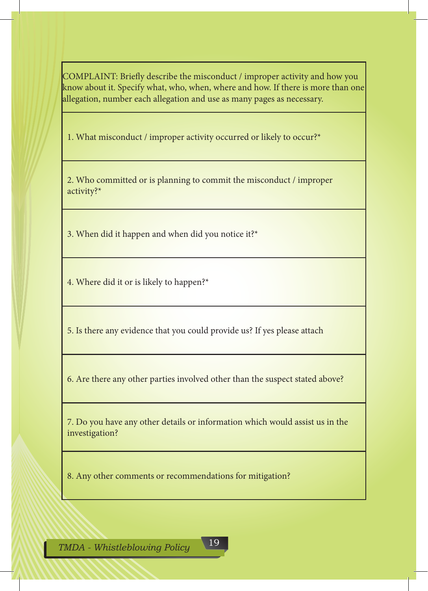COMPLAINT: Briefly describe the misconduct / improper activity and how you know about it. Specify what, who, when, where and how. If there is more than one allegation, number each allegation and use as many pages as necessary.

1. What misconduct / improper activity occurred or likely to occur?\*

2. Who committed or is planning to commit the misconduct / improper activity?\*

3. When did it happen and when did you notice it?\*

4. Where did it or is likely to happen?\*

5. Is there any evidence that you could provide us? If yes please attach

6. Are there any other parties involved other than the suspect stated above?

7. Do you have any other details or information which would assist us in the investigation?

8. Any other comments or recommendations for mitigation?